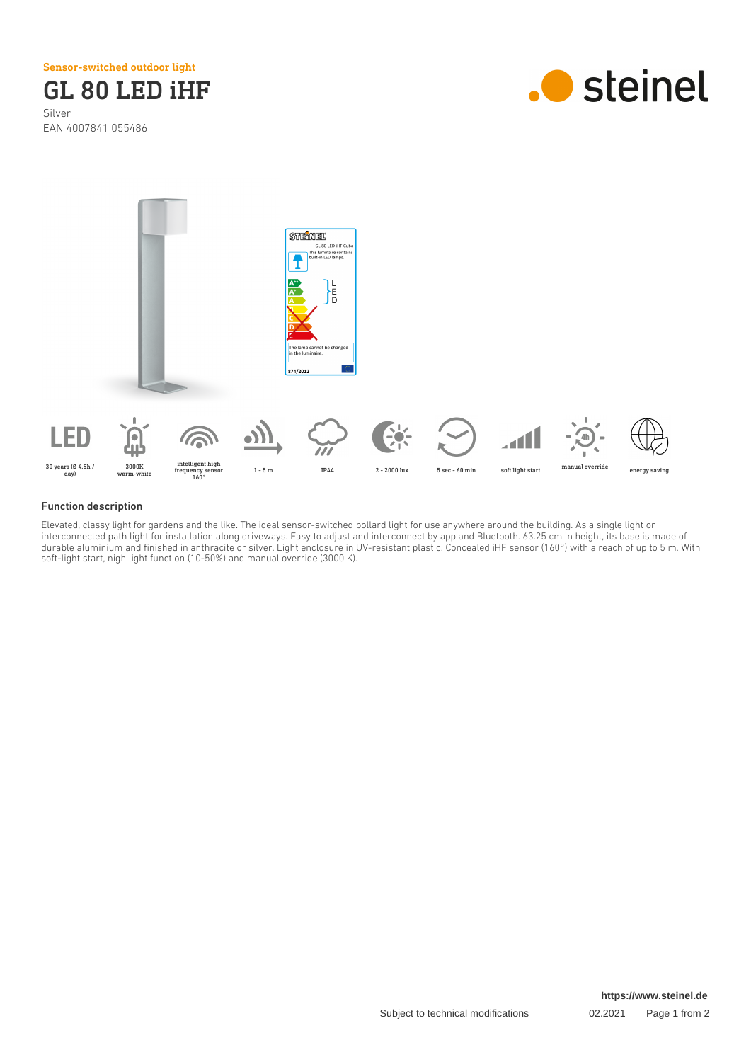Sensor-switched outdoor light

GL 80 LED iHF Silver EAN 4007841 055486





## Function description

Elevated, classy light for gardens and the like. The ideal sensor-switched bollard light for use anywhere around the building. As a single light or interconnected path light for installation along driveways. Easy to adjust and interconnect by app and Bluetooth. 63.25 cm in height, its base is made of durable aluminium and finished in anthracite or silver. Light enclosure in UV-resistant plastic. Concealed iHF sensor (160°) with a reach of up to 5 m. With soft-light start, nigh light function (10-50%) and manual override (3000 K).